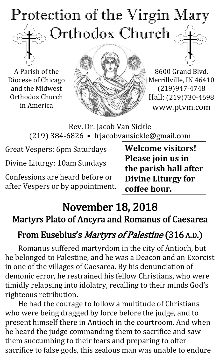# Protection of the Virgin Mary ), Orthodox Church  $_{\rm GC}$  $\mathrm{IC}$

A Parish of the Diocese of Chicago and the Midwest Orthodox Church in America



8600 Grand Blvd. Merrillville, IN 46410 (219)947-4748 Hall: (219)730-4698 www.ptvm.com

Rev. Dr. Jacob Van Sickle (219) 384-6826 • frjacobvansickle@gmail.com

Great Vespers: 6pm Saturdays

Divine Liturgy: 10am Sundays

Confessions are heard before or after Vespers or by appointment.

**Welcome visitors! Please join us in the parish hall after Divine Liturgy for coffee hour.**

# November 18, 2018 Martyrs Plato of Ancyra and Romanus of Caesarea

# From Eusebius's *Martyrs of Palestine* (316 A.D.)

Romanus suffered martyrdom in the city of Antioch, but he belonged to Palestine, and he was a Deacon and an Exorcist in one of the villages of Caesarea. By his denunciation of demonic error, he restrained his fellow Christians, who were timidly relapsing into idolatry, recalling to their minds God's righteous retribution.

He had the courage to follow a multitude of Christians who were being dragged by force before the judge, and to present himself there in Antioch in the courtroom. And when he heard the judge commanding them to sacrifice and saw them succumbing to their fears and preparing to offer sacrifice to false gods, this zealous man was unable to endure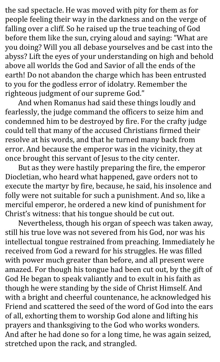the sad spectacle. He was moved with pity for them as for people feeling their way in the darkness and on the verge of falling over a cliff. So he raised up the true teaching of God before them like the sun, crying aloud and saying: "What are you doing? Will you all debase yourselves and be cast into the abyss? Lift the eyes of your understanding on high and behold above all worlds the God and Savior of all the ends of the earth! Do not abandon the charge which has been entrusted to you for the godless error of idolatry. Remember the righteous judgment of our supreme God."

And when Romanus had said these things loudly and fearlessly, the judge command the officers to seize him and condemned him to be destroyed by fire. For the crafty judge could tell that many of the accused Christians firmed their resolve at his words, and that he turned many back from error. And because the emperor was in the vicinity, they at once brought this servant of Jesus to the city center.

But as they were hastily preparing the fire, the emperor Diocletian, who heard what happened, gave orders not to execute the martyr by fire, because, he said, his insolence and folly were not suitable for such a punishment. And so, like a merciful emperor, he ordered a new kind of punishment for Christ's witness: that his tongue should be cut out.

Nevertheless, though his organ of speech was taken away, still his true love was not severed from his God, nor was his intellectual tongue restrained from preaching. Immediately he received from God a reward for his struggles. He was filled with power much greater than before, and all present were amazed. For though his tongue had been cut out, by the gift of God He began to speak valiantly and to exult in his faith as though he were standing by the side of Christ Himself. And with a bright and cheerful countenance, he acknowledged his Friend and scattered the seed of the word of God into the ears of all, exhorting them to worship God alone and lifting his prayers and thanksgiving to the God who works wonders. And after he had done so for a long time, he was again seized, stretched upon the rack, and strangled.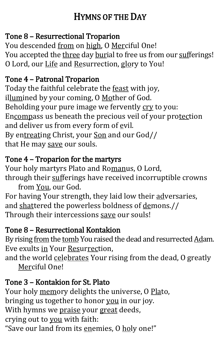# HYMNS OF THE DAY

## Tone 8 – Resurrectional Troparion

You descended from on high, O Merciful One! You accepted the three day burial to free us from our sufferings! O Lord, our Life and Resurrection, glory to You!

## Tone 4 – Patronal Troparion

Today the faithful celebrate the feast with joy, illumined by your coming, O Mother of God. Beholding your pure image we fervently cry to you: Encompass us beneath the precious veil of your protection and deliver us from every form of  $ev$ il. By entreating Christ, your Son and our God// that He may save our souls.

## Tone 4 – Troparion for the martyrs

Your holy martyrs Plato and Romanus, O Lord, through their sufferings have received incorruptible crowns

from You, our God. For having Your strength, they laid low their adversaries, and shattered the powerless boldness of demons.// Through their intercessions save our souls!

## Tone 8 – Resurrectional Kontakion

By rising from the tomb You raised the dead and resurrected Adam. Eve exults in Your Resurrection,

and the world celebrates Your rising from the dead, O greatly Merciful One!

## Tone 3 – Kontakion for St. Plato

Your holy memory delights the universe, O Plato, bringing us together to honor you in our joy. With hymns we praise your great deeds, crying out to you with faith: "Save our land from its enemies, O holy one!"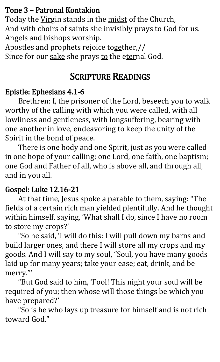#### Tone 3 – Patronal Kontakion

Today the Virgin stands in the midst of the Church, And with choirs of saints she invisibly prays to God for us. Angels and bishops worship.

Apostles and prophets rejoice together,// Since for our sake she prays to the eternal God.

# SCRIPTURE READINGS

#### Epistle: Ephesians 4.1-6

Brethren: I, the prisoner of the Lord, beseech you to walk worthy of the calling with which you were called, with all lowliness and gentleness, with longsuffering, bearing with one another in love, endeavoring to keep the unity of the Spirit in the bond of peace.

There is one body and one Spirit, just as you were called in one hope of your calling; one Lord, one faith, one baptism; one God and Father of all, who is above all, and through all, and in you all.

#### Gospel: Luke 12.16-21

At that time, Jesus spoke a parable to them, saying: "The fields of a certain rich man yielded plentifully. And he thought within himself, saying, 'What shall I do, since I have no room to store my crops?'

"So he said, 'I will do this: I will pull down my barns and build larger ones, and there I will store all my crops and my goods. And I will say to my soul, "Soul, you have many goods laid up for many years; take your ease; eat, drink, and be merry."'

"But God said to him, 'Fool! This night your soul will be required of you; then whose will those things be which you have prepared?'

"So is he who lays up treasure for himself and is not rich toward God."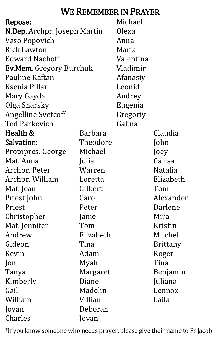# WE REMEMBER IN PRAYER

| Repose:                             |           | Michael   |                 |
|-------------------------------------|-----------|-----------|-----------------|
| <b>N.Dep.</b> Archpr. Joseph Martin |           | Olexa     |                 |
| Vaso Popovich                       |           | Anna      |                 |
| <b>Rick Lawton</b>                  |           | Maria     |                 |
| <b>Edward Nachoff</b>               |           | Valentina |                 |
| <b>Ev.Mem.</b> Gregory Burchuk      |           | Vladimir  |                 |
| Pauline Kaftan                      |           | Afanasiy  |                 |
| Ksenia Pillar                       |           | Leonid    |                 |
| Mary Gayda                          |           | Andrey    |                 |
| Olga Snarsky                        |           | Eugenia   |                 |
| <b>Angelline Svetcoff</b>           |           | Gregoriy  |                 |
| <b>Ted Parkevich</b>                |           | Galina    |                 |
| Health &                            | Barbara   |           | Claudia         |
| Salvation:                          | Theodore  |           | John            |
| Protopres. George                   | Michael   |           | Joey            |
| Mat. Anna                           | Julia     |           | Carisa          |
| Archpr. Peter                       | Warren    |           | Natalia         |
| Archpr. William                     | Loretta   |           | Elizabeth       |
| Mat. Jean                           | Gilbert   |           | Tom             |
| Priest John                         | Carol     |           | Alexander       |
| Priest                              | Peter     |           | Darlene         |
| Christopher                         | Janie     |           | Mira            |
| Mat. Jennifer                       | Tom       |           | Kristin         |
| Andrew                              | Elizabeth |           | Mitchel         |
| Gideon                              | Tina      |           | <b>Brittany</b> |
| Kevin                               | Adam      |           | Roger           |
| $\mathsf{lon}$                      | Myah      |           | Tina            |
| Tanya                               | Margaret  |           | Benjamin        |
| Kimberly                            | Diane     |           | Juliana         |
| Gail                                | Madelin   |           | Lennox          |
| William                             | Villian   |           | Laila           |
| Jovan                               | Deborah   |           |                 |
| Charles                             | Jovan     |           |                 |

\*If you know someone who needs prayer, please give their name to Fr Jacob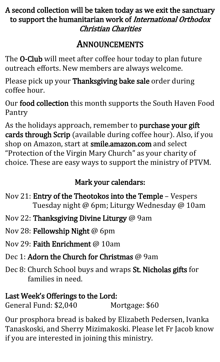#### A second collection will be taken today as we exit the sanctuary to support the humanitarian work of International Orthodox Christian Charities

# ANNOUNCEMENTS

The **O-Club** will meet after coffee hour today to plan future outreach efforts. New members are always welcome.

Please pick up your Thanksgiving bake sale order during coffee hour.

Our food collection this month supports the South Haven Food Pantry

As the holidays approach, remember to purchase your gift cards through Scrip (available during coffee hour). Also, if you shop on Amazon, start at smile.amazon.com and select "Protection of the Virgin Mary Church" as your charity of choice. These are easy ways to support the ministry of PTVM.

# Mark your calendars:

- Nov 21: Entry of the Theotokos into the Temple Vespers Tuesday night @ 6pm; Liturgy Wednesday @ 10am
- Nov 22: Thanksgiving Divine Liturgy @ 9am
- Nov 28: Fellowship Night @ 6pm
- Nov 29: Faith Enrichment @ 10am
- Dec 1: Adorn the Church for Christmas @ 9am
- Dec 8: Church School buys and wraps St. Nicholas gifts for families in need.

# Last Week's Offerings to the Lord:

General Fund: \$2,040 Mortgage: \$60

Our prosphora bread is baked by Elizabeth Pedersen, Ivanka Tanaskoski, and Sherry Mizimakoski. Please let Fr Jacob know if you are interested in joining this ministry.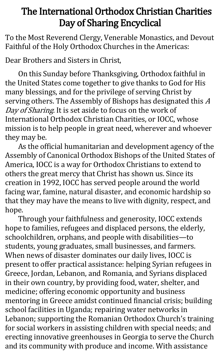# The International Orthodox Christian Charities Day of Sharing Encyclical

To the Most Reverend Clergy, Venerable Monastics, and Devout Faithful of the Holy Orthodox Churches in the Americas:

Dear Brothers and Sisters in Christ,

On this Sunday before Thanksgiving, Orthodox faithful in the United States come together to give thanks to God for His many blessings, and for the privilege of serving Christ by serving others. The Assembly of Bishops has designated this A Day of Sharing. It is set aside to focus on the work of International Orthodox Christian Charities, or IOCC, whose mission is to help people in great need, wherever and whoever they may be.

As the official humanitarian and development agency of the Assembly of Canonical Orthodox Bishops of the United States of America, IOCC is a way for Orthodox Christians to extend to others the great mercy that Christ has shown us. Since its creation in 1992, IOCC has served people around the world facing war, famine, natural disaster, and economic hardship so that they may have the means to live with dignity, respect, and hope.

Through your faithfulness and generosity, IOCC extends hope to families, refugees and displaced persons, the elderly, schoolchildren, orphans, and people with disabilities—to students, young graduates, small businesses, and farmers. When news of disaster dominates our daily lives, IOCC is present to offer practical assistance: helping Syrian refugees in Greece, Jordan, Lebanon, and Romania, and Syrians displaced in their own country, by providing food, water, shelter, and medicine; offering economic opportunity and business mentoring in Greece amidst continued financial crisis; building school facilities in Uganda; repairing water networks in Lebanon; supporting the Romanian Orthodox Church's training for social workers in assisting children with special needs; and erecting innovative greenhouses in Georgia to serve the Church and its community with produce and income. With assistance